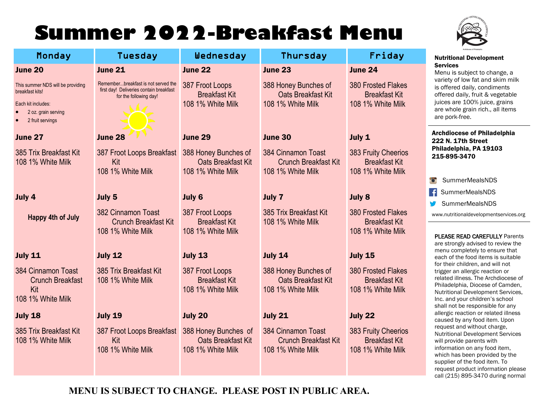# **Summer 2022-Breakfast Menu**

Monday Tuesday Wednesday Thursday Friday



### Nutritional Development Services

bject to change, a w fat and skim milk laily, condiments ly, fruit & vegetable LOO% juice, grains rain rich., all items e.

e of Philadelphia h Street a. PA 19103 470

- rMealsNDS
- **MealsNDS**
- rMealsNDS

aldevelopmentservices.org

#### **AD CAREFULLY Parents** advised to review the letely to ensure that food items is suitable Idren, and will not llergic reaction or ss. The Archdiocese of a. Diocese of Camden, Development Services, Ir children's school responsible for any ction or related illness ny food item. Upon without charge, Development Services parents with on any food item, een provided by the supplier of the food item. To request product information please call (215) 895-3470 during normal

| June 20                                                                                                               | <b>June 21</b>                                                                                           | June 22                                                         | <b>June 23</b>                                                         | <b>June 24</b>                                                         | JUIVILUS<br>Menu is sul                                                                                           |
|-----------------------------------------------------------------------------------------------------------------------|----------------------------------------------------------------------------------------------------------|-----------------------------------------------------------------|------------------------------------------------------------------------|------------------------------------------------------------------------|-------------------------------------------------------------------------------------------------------------------|
| This summer NDS will be providing<br>breakfast kits!<br>Each kit includes:<br>2 oz. grain serving<br>2 fruit servings | Rememberbreakfast is not served the<br>first day! Deliveries contain breakfast<br>for the following day! | 387 Froot Loops<br><b>Breakfast Kit</b><br>108 1% White Milk    | 388 Honey Bunches of<br><b>Oats Breakfast Kit</b><br>108 1% White Milk | <b>380 Frosted Flakes</b><br><b>Breakfast Kit</b><br>108 1% White Milk | variety of lo<br>is offered d<br>offered dail<br>juices are 1<br>are whole g<br>are pork-fre                      |
| June 27                                                                                                               | June 28                                                                                                  | <b>June 29</b>                                                  | June 30                                                                | July 1                                                                 | <b>Archdioces</b><br>222 N. 17th                                                                                  |
| 385 Trix Breakfast Kit<br>108 1% White Milk                                                                           | 387 Froot Loops Breakfast<br>Kit<br>108 1% White Milk                                                    | 388 Honey Bunches of<br>Oats Breakfast Kit<br>108 1% White Milk | 384 Cinnamon Toast<br><b>Crunch Breakfast Kit</b><br>108 1% White Milk | 383 Fruity Cheerios<br><b>Breakfast Kit</b><br>108 1% White Milk       | Philadelphi<br>215-895-34                                                                                         |
|                                                                                                                       |                                                                                                          |                                                                 |                                                                        |                                                                        | Summer                                                                                                            |
| July 4                                                                                                                | July 5                                                                                                   | July 6                                                          | <b>July 7</b>                                                          | <b>July 8</b>                                                          | Ŧ<br>Summer                                                                                                       |
| <b>Happy 4th of July</b>                                                                                              | 382 Cinnamon Toast<br><b>Crunch Breakfast Kit</b><br>108 1% White Milk                                   | 387 Froot Loops<br><b>Breakfast Kit</b><br>108 1% White Milk    | 385 Trix Breakfast Kit<br>108 1% White Milk                            | <b>380 Frosted Flakes</b><br><b>Breakfast Kit</b><br>108 1% White Milk | Summer<br>www.nutritiona<br><b>PLEASE REA</b>                                                                     |
| <b>July 11</b>                                                                                                        | <b>July 12</b>                                                                                           | <b>July 13</b>                                                  | <b>July 14</b>                                                         | <b>July 15</b>                                                         | are strongly<br>menu comp<br>each of the                                                                          |
| 384 Cinnamon Toast<br><b>Crunch Breakfast</b><br>Kit<br>108 1% White Milk                                             | 385 Trix Breakfast Kit<br>108 1% White Milk                                                              | 387 Froot Loops<br><b>Breakfast Kit</b><br>108 1% White Milk    | 388 Honey Bunches of<br>Oats Breakfast Kit<br>108 1% White Milk        | <b>380 Frosted Flakes</b><br><b>Breakfast Kit</b><br>108 1% White Milk | for their chil<br>trigger an al<br>related illne<br>Philadelphia<br>Nutritional D<br>Inc. and you<br>shall not be |
| <b>July 18</b>                                                                                                        | <b>July 19</b>                                                                                           | July 20                                                         | <b>July 21</b>                                                         | July 22                                                                | allergic read<br>caused by a                                                                                      |
| 385 Trix Breakfast Kit<br>108 1% White Milk                                                                           | 387 Froot Loops Breakfast<br>Kit<br>108 1% White Milk                                                    | 388 Honey Bunches of<br>Oats Breakfast Kit<br>108 1% White Milk | 384 Cinnamon Toast<br><b>Crunch Breakfast Kit</b><br>108 1% White Milk | 383 Fruity Cheerios<br><b>Breakfast Kit</b><br>108 1% White Milk       | request and<br><b>Nutritional D</b><br>will provide<br>information<br>which has b                                 |

**MENU IS SUBJECT TO CHANGE. PLEASE POST IN PUBLIC AREA.**